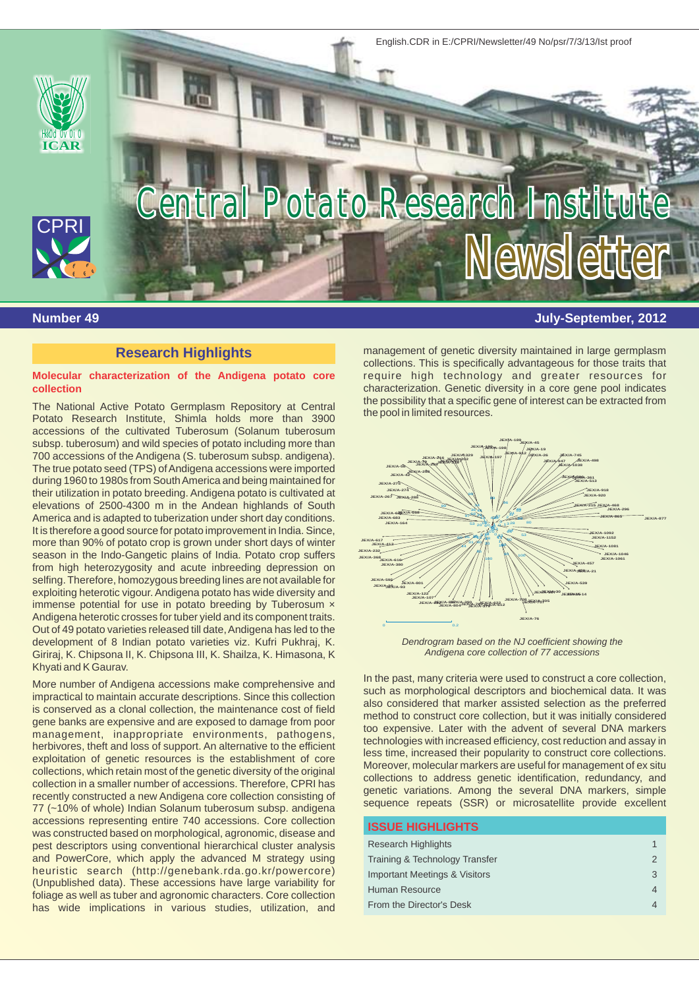

# **Research Highlights**

#### **Molecular characterization of the Andigena potato core collection**

accessions of the cultivated Tuberosum (Solanum tuberosum subsp. tuberosum) and wild species of potato including more than 700 accessions of the Andigena (S. tuberosum subsp. andigena). The true potato seed (TPS) of Andigena accessions were imported during 1960 to 1980s from South America and being maintained for their utilization in potato breeding. Andigena potato is cultivated at elevations of 2500-4300 m in the Andean highlands of South America and is adapted to tuberization under short day conditions. It is therefore a good source for potato improvement in India. Since, more than 90% of potato crop is grown under short days of winter season in the Indo-Gangetic plains of India. Potato crop suffers from high heterozygosity and acute inbreeding depression on selfing. Therefore, homozygous breeding lines are not available for exploiting heterotic vigour. Andigena potato has wide diversity and immense potential for use in potato breeding by Tuberosum × Andigena heterotic crosses for tuber yield and its component traits. Out of 49 potato varieties released till date, Andigena has led to the development of 8 Indian potato varieties viz. Kufri Pukhraj, K. Giriraj, K. Chipsona II, K. Chipsona III, K. Shailza, K. Himasona, K Khyati and K Gaurav.

management, inappropriate environments, pathogens, management, mappropriate environments, patriogens,<br>
herbivores, theft and loss of support. An alternative to the efficient<br>
exploitation of genetic resources is the establishment of core<br>
collections, which retain most of  $77$  ( $\sim$ 10% of whole) Indian Solanum tuberosum subsp. andigena accessions representing entire 740 accessions. Core collection was constructed based on morphological, agronomic, disease and pest descriptors using conventional hierarchical cluster analysis and PowerCore, which apply the advanced M strategy using heuristic search (http://genebank.rda.go.kr/powercore) (Unpublished data). These accessions have large variability for foliage as well as tuber and agronomic characters. Core collection has wide implications in various studies, utilization, and

**Number 49 July-September, 2012**

management of genetic diversity maintained in large germplasm collections. This is specifically advantageous for those traits that require high technology and greater resources for characterization. Genetic diversity in a core gene pool indicates The National Active Potato Germplasm Repository at Central the possibility that a specific gene of interest can be extracted from<br>Potato Research Institute, Shimla holds more than 3900 the pool in limited resources.



*Dendrogram based on the NJ coefficient showing the Andigena core collection of 77 accessions*

More number of Andigena accessions make comprehensive and<br>impractical to maintain accurate descriptions. Since this collection<br>is conserved as a clonal collection, the maintenance cost of field<br>gene banks are expensive and too expensive. Later with the advent of several DNA markers

# **ISSUE HIGHLIGHTS** Research Highlights 1 and 1 and 1 and 1 and 1 and 1 and 1 and 1 and 1 and 1 and 1 and 1 and 1 and 1 and 1 and 1 **Training & Technology Transfer 2** 2 **Important Meetings & Visitors 3** 3 Human Resource 4 From the Director's Desk 4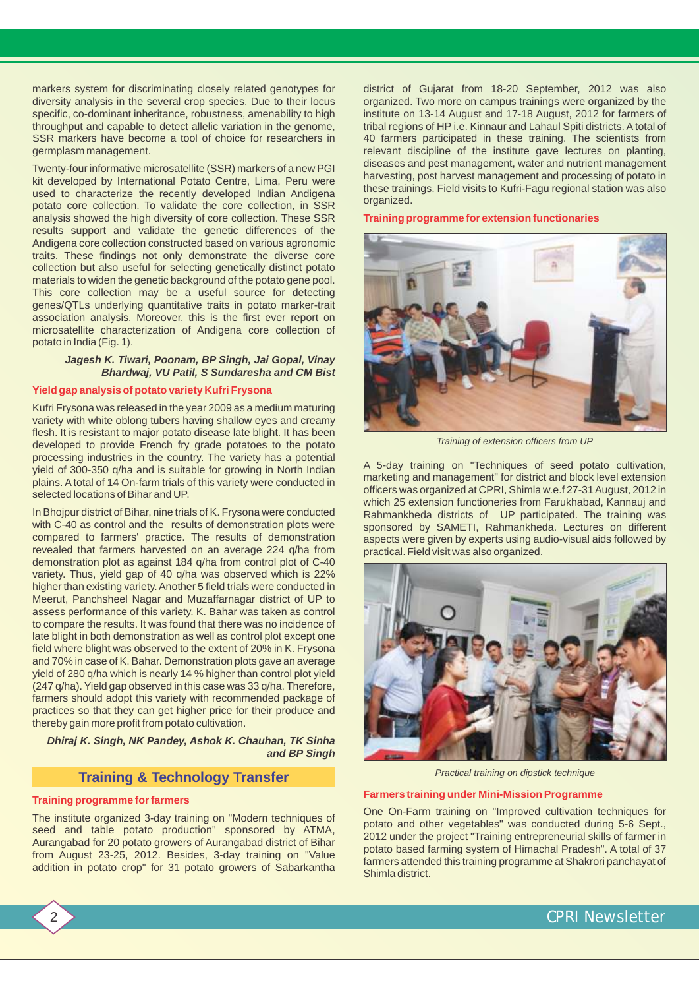markers system for discriminating closely related genotypes for district of Gujarat from 18-20 September, 2012 was also<br>diversity analysis in the several crop species. Due to their locus organized. Two more on campus train diversity analysis in the several crop species. Due to their locus organized. Two more on campus trainings were organized by the specific, co-dominant inheritance, robustness, amenability to high institute on 13-14 August specific, co-dominant inheritance, robustness, amenability to high institute on 13-14 August and 17-18 August, 2012 for farmers of the unit of the districts. A total of the unit of the denome. It is the unit of the liest o throughput and capable to detect allelic variation in the genome, tribal regions of HP i.e. Kinnaur and Lahaul Spiti districts. A total of SSR markers have become a tool of choice for researchers in 40 farmers participated

Twenty-four informative microsatellite (SSR) markers of a new PGI<br>kit developed by International Potato Centre, Lima, Peru were<br>used to characterize the recently developed Indian Andigena<br>potato core collection. To validat analysis showed the high diversity of core collection. These SSR results support and validate the genetic differences of the Andigena core collection constructed based on various agronomic traits. These findings not only demonstrate the diverse core collection but also useful for selecting genetically distinct potato materials to widen the genetic background of the potato gene pool. This core collection may be a useful source for detecting genes/QTLs underlying quantitative traits in potato marker-trait association analysis. Moreover, this is the first ever report on microsatellite characterization of Andigena core collection of potato in India (Fig. 1).

### *Jagesh K. Tiwari, Poonam, BP Singh, Jai Gopal, Vinay Bhardwaj, VU Patil, S Sundaresha and CM Bist*

#### **Yield gap analysis of potato variety Kufri Frysona**

Kufri Frysona was released in the year 2009 as a medium maturing variety with white oblong tubers having shallow eyes and creamy flesh. It is resistant to major potato disease late blight. It has been developed to provide French fry grade potatoes to the potato processing industries in the country. The variety has a potential processing industries in the country. The variety has a potential and A 5-day training on "Techniques of seed potato cultivation, yield of 300-350 q/ha and is suitable for growing in North Indian and management" for distri plains. A total of 14 On-farm trials of this variety were conducted in marketing and management" for district and block level extension<br>selected locations of Bihar and UP.

with C-40 as control and the results of demonstration plots were sponsored by SAMETI, Rahmankheda. Lectures on different were results of demonstration senects were given by experts using audio-visual aids followed by revealed that farmers harvested on an average 224 q/ha from practical. Field visit was also organized. demonstration plot as against 184 q/ha from control plot of C-40 variety. Thus, yield gap of 40 q/ha was observed which is 22% higher than existing variety. Another 5 field trials were conducted in Meerut, Panchsheel Nagar and Muzaffarnagar district of UP to assess performance of this variety. K. Bahar was taken as control to compare the results. It was found that there was no incidence of late blight in both demonstration as well as control plot except one field where blight was observed to the extent of 20% in K. Frysona and 70% in case of K. Bahar. Demonstration plots gave an average yield of 280 q/ha which is nearly 14 % higher than control plot yield (247 q/ha). Yield gap observed in this case was 33 q/ha. Therefore, farmers should adopt this variety with recommended package of practices so that they can get higher price for their produce and thereby gain more profit from potato cultivation.

### *Dhiraj K. Singh, NK Pandey, Ashok K. Chauhan, TK Sinha and BP Singh*

# **Training & Technology Transfer**

seed and table potato production" sponsored by ATMA,<br>Aurangabad for 20 potato growers of Aurangabad district of Bihar

40 farmers participated in these training. The scientists from germplasm management.<br>Turnty fourinformative misses to lite (CCD) markers of a new DOL diseases and pest management, water and nutrient management

**Training programme for extension functionaries**



*Training of extension officers from UP*

which 25 extension functioneries from Farukhabad, Kannauj and In Bhojpur district of Bihar, nine trials of K. Frysona were conducted Rahmankheda districts of UP participated. The training was aspects were given by experts using audio-visual aids followed by



*Practical training on dipstick technique*

# **Farmers training under Mini-Mission Programme Training programme for farmers**

One On-Farm training on "Improved cultivation techniques for The institute organized 3-day training on "Modern techniques of potato and other vegetables" was conducted during 5-6 Sept., Seed and table potato production sponsored by ATMA,<br>Aurangabad for 20 potato growers of Aurangabad district of Bihar<br>from August 23-25, 2012. Besides, 3-day training on "Value<br>addition in potato crop" for 31 potato growers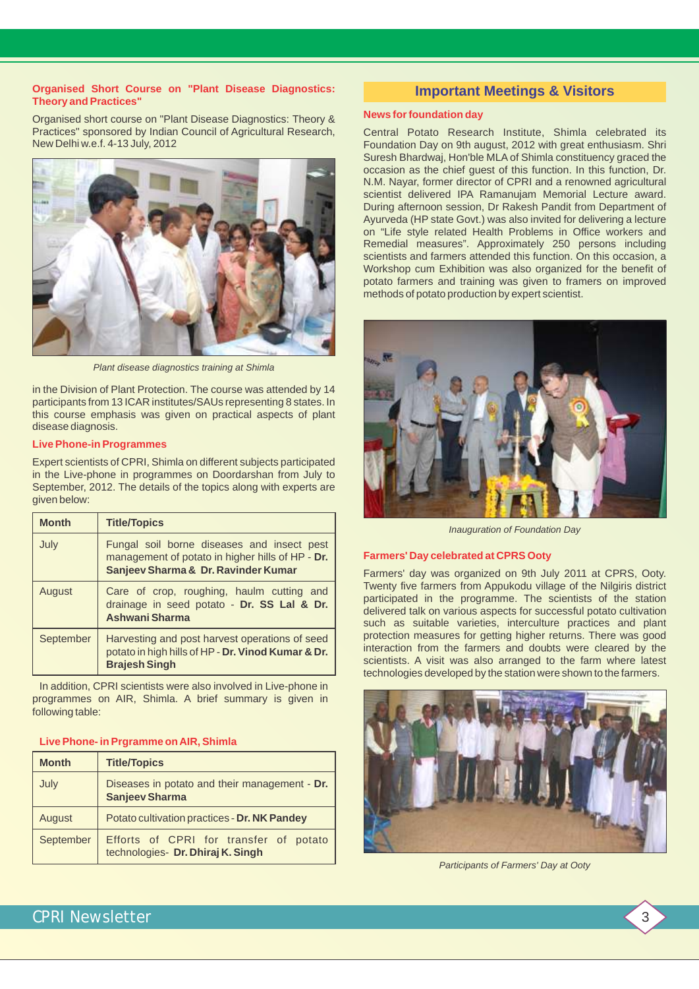#### **Organised Short Course on "Plant Disease Diagnostics: Theory and Practices"**

Organised short course on "Plant Disease Diagnostics: Theory & Practices" sponsored by Indian Council of Agricultural Research, Central Potato Research Institute, Shimla celebrated its



*Plant disease diagnostics training at Shimla* 

in the Division of Plant Protection. The course was attended by 14 participants from 13 ICAR institutes/SAUs representing 8 states. In this course emphasis was given on practical aspects of plant disease diagnosis.

### **Live Phone-in Programmes**

Expert scientists of CPRI, Shimla on different subjects participated in the Live-phone in programmes on Doordarshan from July to September, 2012. The details of the topics along with experts are given below:

| <b>Month</b> | <b>Title/Topics</b>                                                                                                                   |
|--------------|---------------------------------------------------------------------------------------------------------------------------------------|
| July         | Fungal soil borne diseases and insect pest<br>management of potato in higher hills of HP - Dr.<br>Sanjeev Sharma & Dr. Ravinder Kumar |
| August       | Care of crop, roughing, haulm cutting and<br>drainage in seed potato - Dr. SS Lal & Dr.<br><b>Ashwani Sharma</b>                      |
| September    | Harvesting and post harvest operations of seed<br>potato in high hills of HP - Dr. Vinod Kumar & Dr.<br><b>Brajesh Singh</b>          |

In addition, CPRI scientists were also involved in Live-phone in programmes on AIR, Shimla. A brief summary is given in following table:

#### **Live Phone- in Prgramme on AIR, Shimla**

| <b>Month</b> | <b>Title/Topics</b>                                                         |  |  |  |
|--------------|-----------------------------------------------------------------------------|--|--|--|
| July         | Diseases in potato and their management - Dr.<br><b>Sanjeev Sharma</b>      |  |  |  |
| August       | Potato cultivation practices - Dr. NK Pandey                                |  |  |  |
| September    | Efforts of CPRI for transfer of potato<br>technologies- Dr. Dhiraj K. Singh |  |  |  |

# **Important Meetings & Visitors**

#### **News for foundation day**

Foundation Day on 9th august, 2012 with great enthusiasm. Shri Suresh Bhardwaj, Hon'ble MLA of Shimla constituency graced the occasion as the chief guest of this function. In this function, Dr. N.M. Nayar, former director of CPRI and a renowned agricultural scientist delivered IPA Ramanujam Memorial Lecture award. During afternoon session, Dr Rakesh Pandit from Department of Ayurveda (HP state Govt.) was also invited for delivering a lecture on "Life style related Health Problems in Office workers and Remedial measures". Approximately 250 persons including scientists and farmers attended this function. On this occasion, a Workshop cum Exhibition was also organized for the benefit of potato farmers and training was given to framers on improved methods of potato production by expert scientist.



*Inauguration of Foundation Day*

#### **Farmers' Day celebrated at CPRS Ooty**

Farmers' day was organized on 9th July 2011 at CPRS, Ooty. Twenty five farmers from Appukodu village of the Nilgiris district<br>participated in the programme. The scientists of the station<br>delivered talk on various aspects for successful potato cultivation<br>such as suitable varieties protection measures for getting higher returns. There was good interaction from the farmers and doubts were cleared by the scientists. A visit was also arranged to the farm where latest technologies developed by the station were shown to the farmers.



*Participants of Farmers' Day at Ooty*